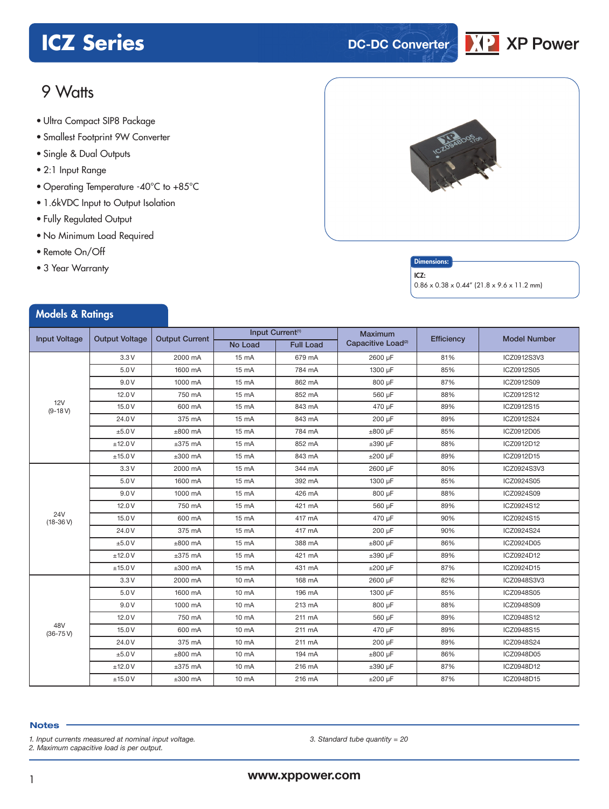# **ICZ Series DC-DC** Converter



## 9 Watts

- **xxx Series** Ultra Compact SIP8 Package
- Smallest Footprint 9W Converter
- Single & Dual Outputs
- 2:1 Input Range
- Operating Temperature -40°C to +85°C
- 1.6kVDC Input to Output Isolation
- Fully Regulated Output
- No Minimum Load Required
- Remote On/Off
- 3 Year Warranty



#### Dimensions:

ICZ:

 $0.86 \times 0.38 \times 0.44''$  (21.8 x 9.6 x 11.2 mm)

| <b>Models &amp; Ratings</b> |                       |                       |                              |                  |                                |                   |                     |
|-----------------------------|-----------------------|-----------------------|------------------------------|------------------|--------------------------------|-------------------|---------------------|
|                             |                       |                       | Input Current <sup>(1)</sup> |                  | <b>Maximum</b>                 |                   |                     |
| <b>Input Voltage</b>        | <b>Output Voltage</b> | <b>Output Current</b> | No Load                      | <b>Full Load</b> | Capacitive Load <sup>(2)</sup> | <b>Efficiency</b> | <b>Model Number</b> |
|                             | 3.3V                  | 2000 mA               | 15 mA                        | 679 mA           | 2600 uF                        | 81%               | ICZ0912S3V3         |
|                             | 5.0V                  | 1600 mA               | 15 mA                        | 784 mA           | 1300 µF                        | 85%               | ICZ0912S05          |
|                             | 9.0V                  | 1000 mA               | 15 mA                        | 862 mA           | 800 µF                         | 87%               | ICZ0912S09          |
|                             | 12.0V                 | 750 mA                | 15 mA                        | 852 mA           | 560 µF                         | 88%               | ICZ0912S12          |
| 12V<br>$(9-18 V)$           | 15.0 V                | 600 mA                | 15 mA                        | 843 mA           | 470 uF                         | 89%               | ICZ0912S15          |
|                             | 24.0V                 | 375 mA                | 15 mA                        | 843 mA           | 200 µF                         | 89%               | ICZ0912S24          |
|                             | ±5.0V                 | $±800$ mA             | 15 mA                        | 784 mA           | $±800 \mu F$                   | 85%               | ICZ0912D05          |
|                             | ±12.0V                | $±375$ mA             | 15 mA                        | 852 mA           | $\pm 390$ µF                   | 88%               | ICZ0912D12          |
|                             | ±15.0V                | $±300$ mA             | 15 mA                        | 843 mA           | $±200$ uF                      | 89%               | ICZ0912D15          |
|                             | 3.3V                  | 2000 mA               | 15 mA                        | 344 mA           | 2600 µF                        | 80%               | ICZ0924S3V3         |
|                             | 5.0V                  | 1600 mA               | 15 mA                        | 392 mA           | 1300 µF                        | 85%               | ICZ0924S05          |
|                             | 9.0V                  | 1000 mA               | 15 mA                        | 426 mA           | 800 µF                         | 88%               | ICZ0924S09          |
|                             | 12.0V                 | 750 mA                | 15 mA                        | 421 mA           | 560 µF                         | 89%               | ICZ0924S12          |
| 24V<br>$(18-36V)$           | 15.0V                 | 600 mA                | 15 mA                        | 417 mA           | 470 µF                         | 90%               | ICZ0924S15          |
|                             | 24.0V                 | 375 mA                | 15 mA                        | 417 mA           | 200 µF                         | 90%               | ICZ0924S24          |
|                             | ±5.0V                 | $±800$ mA             | 15 mA                        | 388 mA           | $\pm 800$ µF                   | 86%               | ICZ0924D05          |
|                             | ±12.0V                | $±375$ mA             | 15 mA                        | 421 mA           | $\pm 390$ µF                   | 89%               | ICZ0924D12          |
|                             | ±15.0V                | $±300$ mA             | 15 mA                        | 431 mA           | $±200 \mu F$                   | 87%               | ICZ0924D15          |
|                             | 3.3V                  | 2000 mA               | 10 mA                        | 168 mA           | 2600 µF                        | 82%               | ICZ0948S3V3         |
|                             | 5.0V                  | 1600 mA               | 10 mA                        | 196 mA           | 1300 µF                        | 85%               | ICZ0948S05          |
|                             | 9.0V                  | 1000 mA               | 10 mA                        | 213 mA           | 800 µF                         | 88%               | ICZ0948S09          |
|                             | 12.0V                 | 750 mA                | 10 mA                        | 211 mA           | 560 µF                         | 89%               | ICZ0948S12          |
| 48V<br>$(36 - 75 V)$        | 15.0V                 | 600 mA                | 10 mA                        | 211 mA           | 470 µF                         | 89%               | ICZ0948S15          |
|                             | 24.0V                 | 375 mA                | 10 mA                        | 211 mA           | 200 µF                         | 89%               | ICZ0948S24          |
|                             | ±5.0V                 | $±800$ mA             | 10 mA                        | 194 mA           | $\pm 800$ µF                   | 86%               | ICZ0948D05          |
|                             | ±12.0V                | $±375$ mA             | 10 mA                        | 216 mA           | $\pm 390$ µF                   | 87%               | ICZ0948D12          |
|                             | ±15.0V                | $±300$ mA             | $10 \text{ mA}$              | 216 mA           | $±200 \mu F$                   | 87%               | ICZ0948D15          |

#### **Notes**

*1. Input currents measured at nominal input voltage.*

*2. Maximum capacitive load is per output.*

*3. Standard tube quantity = 20*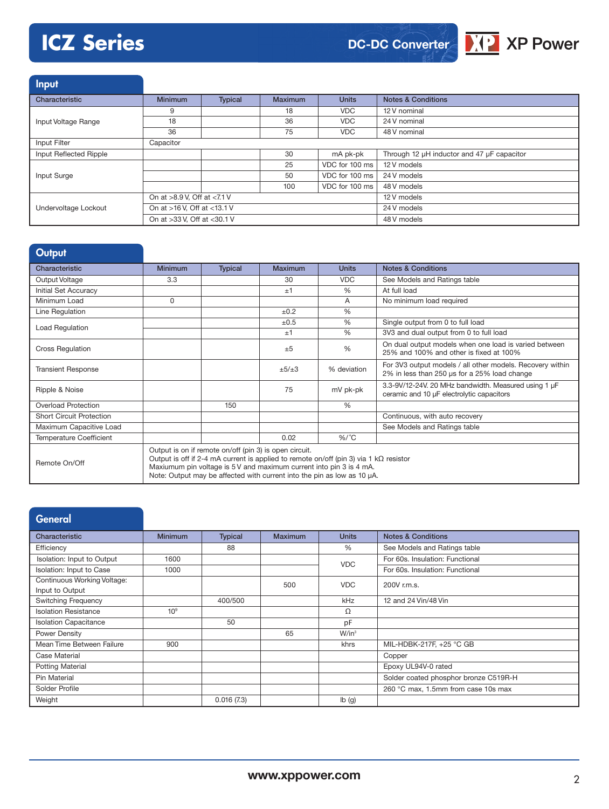# **ICZ Series**



Input Characteristic **Minimum Typical Maximum Units Notes & Conditions** Input Voltage Range 9 18 VDC 12 V nominal 18 18 36 VDC 24 V nominal 36 75 VDC 48 V nominal **Input Filter** Capacitor Input Reflected Ripple 30 mA pk-pk Through 12 µH inductor and 47 µF capacitor Input Surge 25 VDC for 100 ms 12 V models 50 VDC for 100 ms 24 V models 100 VDC for 100 ms 48 V models Undervoltage Lockout On at >8.9 V, Off at <7.1 V 12 V models On at >16 V, Off at <13.1 V 24 V models On at >33 V, Off at <30.1 V 48 V models

| Output                          |                                                                                                                                                                                                                                                                                                           |                |           |               |                                                                                                           |
|---------------------------------|-----------------------------------------------------------------------------------------------------------------------------------------------------------------------------------------------------------------------------------------------------------------------------------------------------------|----------------|-----------|---------------|-----------------------------------------------------------------------------------------------------------|
| Characteristic                  | <b>Minimum</b>                                                                                                                                                                                                                                                                                            | <b>Typical</b> | Maximum   | <b>Units</b>  | <b>Notes &amp; Conditions</b>                                                                             |
| Output Voltage                  | 3.3                                                                                                                                                                                                                                                                                                       |                | 30        | <b>VDC</b>    | See Models and Ratings table                                                                              |
| Initial Set Accuracy            |                                                                                                                                                                                                                                                                                                           |                | ±1        | $\frac{0}{0}$ | At full load                                                                                              |
| Minimum Load                    | $\Omega$                                                                                                                                                                                                                                                                                                  |                |           | A             | No minimum load required                                                                                  |
| Line Regulation                 |                                                                                                                                                                                                                                                                                                           |                | ±0.2      | $\frac{0}{0}$ |                                                                                                           |
| Load Regulation                 |                                                                                                                                                                                                                                                                                                           |                | $\pm 0.5$ | $\frac{0}{0}$ | Single output from 0 to full load                                                                         |
|                                 |                                                                                                                                                                                                                                                                                                           |                | ±1        | $\frac{0}{0}$ | 3V3 and dual output from 0 to full load                                                                   |
| <b>Cross Regulation</b>         |                                                                                                                                                                                                                                                                                                           |                | ±5        | $\frac{0}{0}$ | On dual output models when one load is varied between<br>25% and 100% and other is fixed at 100%          |
| <b>Transient Response</b>       |                                                                                                                                                                                                                                                                                                           |                | ±5/±3     | % deviation   | For 3V3 output models / all other models. Recovery within<br>2% in less than 250 us for a 25% load change |
| Ripple & Noise                  |                                                                                                                                                                                                                                                                                                           |                | 75        | mV pk-pk      | 3.3-9V/12-24V. 20 MHz bandwidth. Measured using 1 µF<br>ceramic and 10 µF electrolytic capacitors         |
| Overload Protection             |                                                                                                                                                                                                                                                                                                           | 150            |           | $\frac{0}{0}$ |                                                                                                           |
| <b>Short Circuit Protection</b> |                                                                                                                                                                                                                                                                                                           |                |           |               | Continuous, with auto recovery                                                                            |
| Maximum Capacitive Load         |                                                                                                                                                                                                                                                                                                           |                |           |               | See Models and Ratings table                                                                              |
| <b>Temperature Coefficient</b>  |                                                                                                                                                                                                                                                                                                           |                | 0.02      | $%$ /°C       |                                                                                                           |
| Remote On/Off                   | Output is on if remote on/off (pin 3) is open circuit.<br>Output is off if 2-4 mA current is applied to remote on/off (pin 3) via 1 k $\Omega$ resistor<br>Maxiumum pin voltage is 5 V and maximum current into pin 3 is 4 mA.<br>Note: Output may be affected with current into the pin as low as 10 µA. |                |           |               |                                                                                                           |

| <b>General</b>               |                 |                |                |              |                                       |
|------------------------------|-----------------|----------------|----------------|--------------|---------------------------------------|
| Characteristic               | <b>Minimum</b>  | <b>Typical</b> | <b>Maximum</b> | <b>Units</b> | <b>Notes &amp; Conditions</b>         |
| Efficiency                   |                 | 88             |                | %            | See Models and Ratings table          |
| Isolation: Input to Output   | 1600            |                |                | <b>VDC</b>   | For 60s. Insulation: Functional       |
| Isolation: Input to Case     | 1000            |                |                |              | For 60s. Insulation: Functional       |
| Continuous Working Voltage:  |                 |                | 500            | <b>VDC</b>   | 200V r.m.s.                           |
| Input to Output              |                 |                |                |              |                                       |
| <b>Switching Frequency</b>   |                 | 400/500        |                | kHz          | 12 and 24 Vin/48 Vin                  |
| <b>Isolation Resistance</b>  | 10 <sup>9</sup> |                |                | Ω            |                                       |
| <b>Isolation Capacitance</b> |                 | 50             |                | pF           |                                       |
| Power Density                |                 |                | 65             | $W/in^3$     |                                       |
| Mean Time Between Failure    | 900             |                |                | khrs         | MIL-HDBK-217F, +25 °C GB              |
| Case Material                |                 |                |                |              | Copper                                |
| <b>Potting Material</b>      |                 |                |                |              | Epoxy UL94V-0 rated                   |
| Pin Material                 |                 |                |                |              | Solder coated phosphor bronze C519R-H |
| Solder Profile               |                 |                |                |              | 260 °C max, 1.5mm from case 10s max   |
| Weight                       |                 | 0.016(7.3)     |                | Ib(g)        |                                       |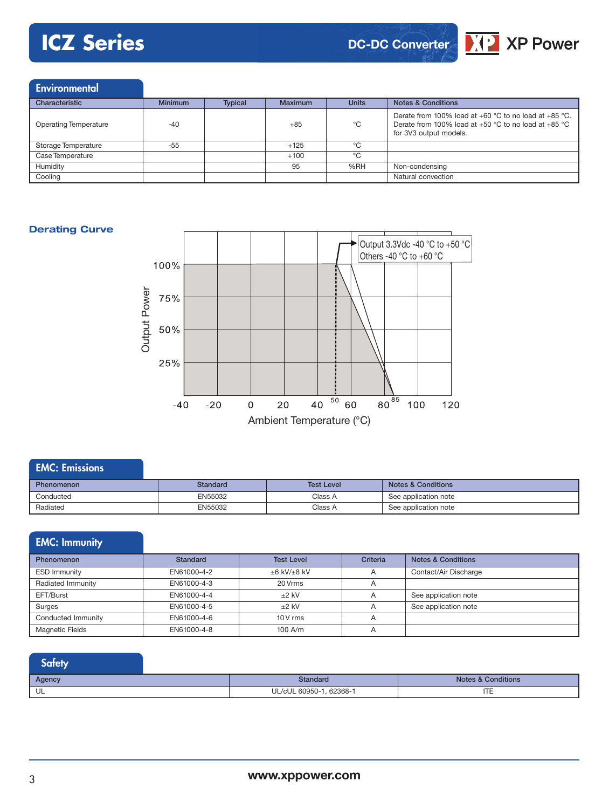# **ICZ Series**

## **DC-DC Converter**



#### **Environmental**

| Characteristic               | <b>Minimum</b> | <b>Typical</b> | <b>Maximum</b> | <b>Units</b> | <b>Notes &amp; Conditions</b>                                                                                                                                   |
|------------------------------|----------------|----------------|----------------|--------------|-----------------------------------------------------------------------------------------------------------------------------------------------------------------|
| <b>Operating Temperature</b> | $-40$          |                | $+85$          | °C           | Derate from 100% load at $+60$ °C to no load at $+85$ °C.<br>Derate from 100% load at +50 $^{\circ}$ C to no load at +85 $^{\circ}$ C<br>for 3V3 output models. |
| Storage Temperature          | -55            |                | $+125$         | ℃            |                                                                                                                                                                 |
| Case Temperature             |                |                | $+100$         | ℃            |                                                                                                                                                                 |
| Humidity                     |                |                | 95             | %RH          | Non-condensing                                                                                                                                                  |
| Cooling                      |                |                |                |              | Natural convection                                                                                                                                              |

#### **Derating Curve**



### EMC: Emissions Phenomenon **Standard Standard Test Level Notes & Conditions** Conducted EN55032 Class A See application note Radiated EN55032 Class A See application note

### EMC: Immunity

| <b>Phenomenon</b>      | Standard    | <b>Test Level</b>      | <b>Criteria</b> | <b>Notes &amp; Conditions</b> |
|------------------------|-------------|------------------------|-----------------|-------------------------------|
| <b>ESD Immunity</b>    | EN61000-4-2 | $\pm 6$ kV/ $\pm 8$ kV | A               | Contact/Air Discharge         |
| Radiated Immunity      | EN61000-4-3 | 20 Vrms                | $\overline{A}$  |                               |
| EFT/Burst              | EN61000-4-4 | $+2$ kV                |                 | See application note          |
| Surges                 | EN61000-4-5 | $+2$ kV                |                 | See application note          |
| Conducted Immunity     | EN61000-4-6 | $10V$ rms              |                 |                               |
| <b>Magnetic Fields</b> | EN61000-4-8 | $100$ A/m              |                 |                               |

### **Safety**

| Agency | <b>Standard</b>           | Conditions<br>Notes & |
|--------|---------------------------|-----------------------|
| ◡∟     | UL/cUL 60950-1<br>62368-1 | ITE                   |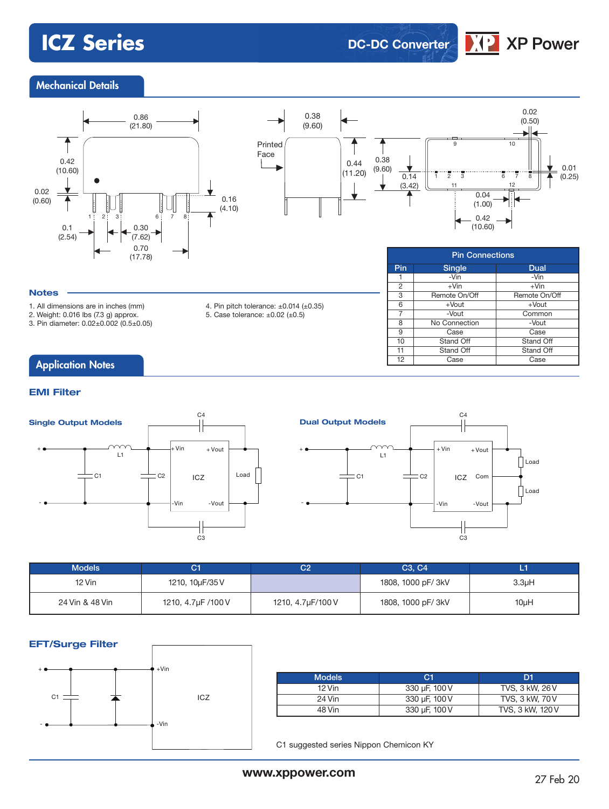# **ICZ Series DC-DC Converter**



### Mechanical Details





|                | <b>Pin Connections</b> |               |  |  |  |
|----------------|------------------------|---------------|--|--|--|
| Pin            | <b>Single</b>          | Dual          |  |  |  |
|                | -Vin                   | -Vin          |  |  |  |
| $\overline{2}$ | $+V$ in                | $+V$ in       |  |  |  |
| 3              | Remote On/Off          | Remote On/Off |  |  |  |
| 6              | $+$ Vout               | $+$ Vout      |  |  |  |
| 7              | -Vout                  | Common        |  |  |  |
| 8              | No Connection          | -Vout         |  |  |  |
| 9              | Case                   | Case          |  |  |  |
| 10             | Stand Off              | Stand Off     |  |  |  |
| 11             | Stand Off              | Stand Off     |  |  |  |
| 12             | Case                   | Case          |  |  |  |

#### **Notes**

1. All dimensions are in inches (mm)

2. Weight: 0.016 lbs (7.3 g) approx.

3. Pin diameter: 0.02±0.002 (0.5±0.05)

- 4. Pin pitch tolerance: ±0.014 (±0.35)
- 5. Case tolerance:  $\pm 0.02$  ( $\pm 0.5$ )

### **Application Notes**

#### **EMI Filter**





| <b>Models</b>   | С1                 | C2                | C <sub>3</sub> , C <sub>4</sub> |                    |
|-----------------|--------------------|-------------------|---------------------------------|--------------------|
| 12 Vin          | 1210, 10µF/35 V    |                   | 1808, 1000 pF/ 3kV              | 3.3 <sub>µ</sub> H |
| 24 Vin & 48 Vin | 1210, 4.7µF /100 V | 1210, 4.7µF/100 V | 1808, 1000 pF/ 3kV              | $10\mu$ H          |

#### **EFT/Surge Filter**



I

| <b>Models</b> | C <sub>1</sub> | D1               |
|---------------|----------------|------------------|
| 12 Vin        | 330 µF, 100 V  | TVS, 3 kW, 26 V  |
| 24 Vin        | 330 µF, 100 V  | TVS, 3 kW, 70 V  |
| 48 Vin        | 330 µF, 100 V  | TVS, 3 kW, 120 V |

C1 suggested series Nippon Chemicon KY